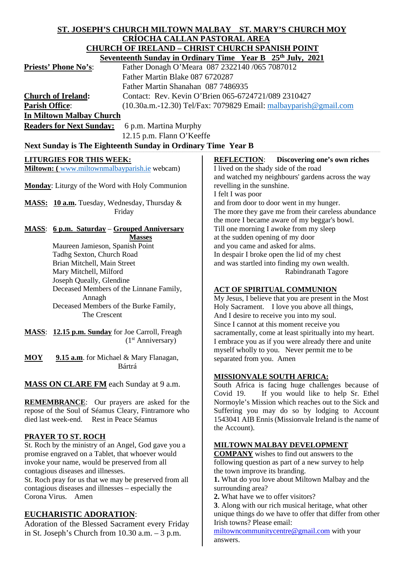# **ST. JOSEPH'S CHURCH MILTOWN MALBAY ST. MARY'S CHURCH MOY CRÍOCHA CALLAN PASTORAL AREA CHURCH OF IRELAND – CHRIST CHURCH SPANISH POINT**

|                                 | Seventeenth Sunday in Ordinary Time Year B 25th July, 2021          |
|---------------------------------|---------------------------------------------------------------------|
| <b>Priests' Phone No's:</b>     | Father Donagh O'Meara 087 2322140 /065 7087012                      |
|                                 | Father Martin Blake 087 6720287                                     |
|                                 | Father Martin Shanahan 087 7486935                                  |
| <b>Church of Ireland:</b>       | Contact: Rev. Kevin O'Brien 065-6724721/089 2310427                 |
| <b>Parish Office:</b>           | $(10.30a.m.-12.30)$ Tel/Fax: 7079829 Email: malbayparish @gmail.com |
| <b>In Miltown Malbay Church</b> |                                                                     |

**Readers for Next Sunday:** 6 p.m. Martina Murphy

12.15 p.m. Flann O'Keeffe

# Next Sunday is The Eighteenth Sunday in Ordinary Time Year B

# **LITURGIES FOR THIS WEEK:**

**Miltown:** ([www.miltownmalbayparish.ie](http://www.miltownmalbayparish.ie/) webcam)

**Monday**: Liturgy of the Word with Holy Communion

**MASS: 10 a.m.** Tuesday, Wednesday, Thursday & Friday

#### **MASS**: **6 p.m. Saturday** – **Grouped Anniversary Masses**

 Maureen Jamieson, Spanish Point Tadhg Sexton, Church Road Brian Mitchell, Main Street Mary Mitchell, Milford Joseph Queally, Glendine Deceased Members of the Linnane Family, Annagh Deceased Members of the Burke Family, The Crescent

**MASS**: **12.15 p.m. Sunday** for Joe Carroll, Freagh (1st Anniversary)

**MOY 9.15 a.m**. for Michael & Mary Flanagan, Bártrá

**MASS ON CLARE FM** each Sunday at 9 a.m.

**REMEMBRANCE**: Our prayers are asked for the repose of the Soul of Séamus Cleary, Fintramore who died last week-end. Rest in Peace Séamus

# **PRAYER TO ST. ROCH**

St. Roch by the ministry of an Angel, God gave you a promise engraved on a Tablet, that whoever would invoke your name, would be preserved from all contagious diseases and illnesses.

St. Roch pray for us that we may be preserved from all contagious diseases and illnesses – especially the Corona Virus. Amen

# **EUCHARISTIC ADORATION**:

Adoration of the Blessed Sacrament every Friday in St. Joseph's Church from 10.30 a.m. – 3 p.m.

**REFLECTION**: **Discovering one's own riches** I lived on the shady side of the road and watched my neighbours' gardens across the way revelling in the sunshine. I felt I was poor and from door to door went in my hunger. The more they gave me from their careless abundance the more I became aware of my beggar's bowl. Till one morning I awoke from my sleep at the sudden opening of my door and you came and asked for alms. In despair I broke open the lid of my chest and was startled into finding my own wealth. Rabindranath Tagore

#### **ACT OF SPIRITUAL COMMUNION**

My Jesus, I believe that you are present in the Most Holy Sacrament. I love you above all things, And I desire to receive you into my soul. Since I cannot at this moment receive you sacramentally, come at least spiritually into my heart. I embrace you as if you were already there and unite myself wholly to you. Never permit me to be separated from you. Amen

#### **MISSIONVALE SOUTH AFRICA:**

South Africa is facing huge challenges because of Covid 19. If you would like to help Sr. Ethel Normoyle's Mission which reaches out to the Sick and Suffering you may do so by lodging to Account 1543041 AIB Ennis (Missionvale Ireland is the name of the Account).

#### **MILTOWN MALBAY DEVELOPMENT**

**COMPANY** wishes to find out answers to the following question as part of a new survey to help the town improve its branding.

**1.** What do you love about Miltown Malbay and the surrounding area?

**2.** What have we to offer visitors?

**3**. Along with our rich musical heritage, what other unique things do we have to offer that differ from other Irish towns? Please email:

[miltowncommunitycentre@gmail.com](mailto:miltowncommunitycentre@gmail.com) with your answers.